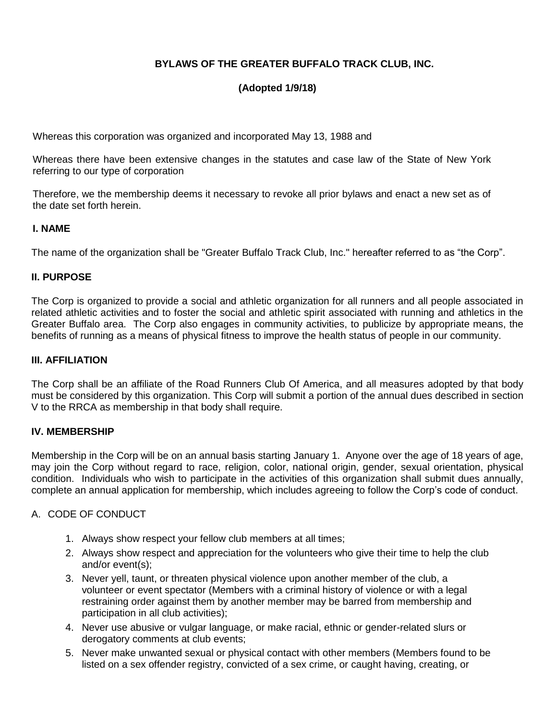# **BYLAWS OF THE GREATER BUFFALO TRACK CLUB, INC.**

# **(Adopted 1/9/18)**

Whereas this corporation was organized and incorporated May 13, 1988 and

Whereas there have been extensive changes in the statutes and case law of the State of New York referring to our type of corporation

Therefore, we the membership deems it necessary to revoke all prior bylaws and enact a new set as of the date set forth herein.

#### **I. NAME**

The name of the organization shall be "Greater Buffalo Track Club, Inc." hereafter referred to as "the Corp".

#### **II. PURPOSE**

The Corp is organized to provide a social and athletic organization for all runners and all people associated in related athletic activities and to foster the social and athletic spirit associated with running and athletics in the Greater Buffalo area. The Corp also engages in community activities, to publicize by appropriate means, the benefits of running as a means of physical fitness to improve the health status of people in our community.

#### **III. AFFILIATION**

The Corp shall be an affiliate of the Road Runners Club Of America, and all measures adopted by that body must be considered by this organization. This Corp will submit a portion of the annual dues described in section V to the RRCA as membership in that body shall require.

#### **IV. MEMBERSHIP**

Membership in the Corp will be on an annual basis starting January 1. Anyone over the age of 18 years of age, may join the Corp without regard to race, religion, color, national origin, gender, sexual orientation, physical condition. Individuals who wish to participate in the activities of this organization shall submit dues annually, complete an annual application for membership, which includes agreeing to follow the Corp's code of conduct.

#### A. CODE OF CONDUCT

- 1. Always show respect your fellow club members at all times;
- 2. Always show respect and appreciation for the volunteers who give their time to help the club and/or event(s);
- 3. Never yell, taunt, or threaten physical violence upon another member of the club, a volunteer or event spectator (Members with a criminal history of violence or with a legal restraining order against them by another member may be barred from membership and participation in all club activities);
- 4. Never use abusive or vulgar language, or make racial, ethnic or gender-related slurs or derogatory comments at club events;
- 5. Never make unwanted sexual or physical contact with other members (Members found to be listed on a sex offender registry, convicted of a sex crime, or caught having, creating, or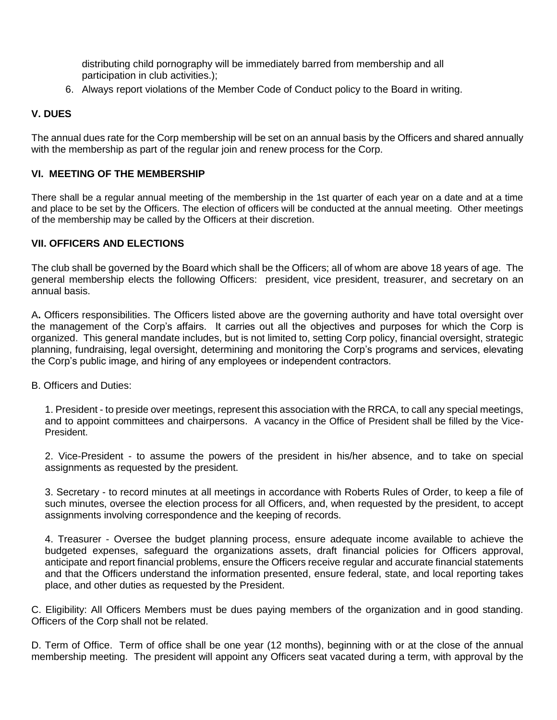distributing child pornography will be immediately barred from membership and all participation in club activities.);

6. Always report violations of the Member Code of Conduct policy to the Board in writing.

### **V. DUES**

The annual dues rate for the Corp membership will be set on an annual basis by the Officers and shared annually with the membership as part of the regular join and renew process for the Corp.

### **VI. MEETING OF THE MEMBERSHIP**

**There shall be a regular annual meeting of the membership in the 1st quarter of each year on a date and at a time and place to be set by the Officers. The election of officers will be conducted at the annual meeting. Other meetings of the membership may be called by the Officers at their discretion.** 

#### **VII. OFFICERS AND ELECTIONS**

The club shall be governed by the Board which shall be the Officers; all of whom are above 18 years of age. The general membership elects the following Officers: president, vice president, treasurer, and secretary on an annual basis.

A**.** Officers responsibilities. The Officers listed above are the governing authority and have total oversight over the management of the Corp's affairs. It carries out all the objectives and purposes for which the Corp is organized. This general mandate includes, but is not limited to, setting Corp policy, financial oversight, strategic planning, fundraising, legal oversight, determining and monitoring the Corp's programs and services, elevating the Corp's public image, and hiring of any employees or independent contractors.

B. Officers and Duties:

1. President - to preside over meetings, represent this association with the RRCA, to call any special meetings, and to appoint committees and chairpersons. **A vacancy in the Office of President shall be filled by the Vice-President.**

2. Vice-President - to assume the powers of the president in his/her absence, and to take on special assignments as requested by the president.

3. Secretary - to record minutes at all meetings in accordance with Roberts Rules of Order, to keep a file of such minutes, oversee the election process for all Officers, and, when requested by the president, to accept assignments involving correspondence and the keeping of records.

4. Treasurer - Oversee the budget planning process, ensure adequate income available to achieve the budgeted expenses, safeguard the organizations assets, draft financial policies for Officers approval, anticipate and report financial problems, ensure the Officers receive regular and accurate financial statements and that the Officers understand the information presented, ensure federal, state, and local reporting takes place, and other duties as requested by the President.

C. Eligibility: All Officers Members must be dues paying members of the organization and in good standing. Officers of the Corp shall not be related.

D. Term of Office. Term of office shall be one year (12 months), beginning with or at the close of the annual membership meeting. The president will appoint any Officers seat vacated during a term, with approval by the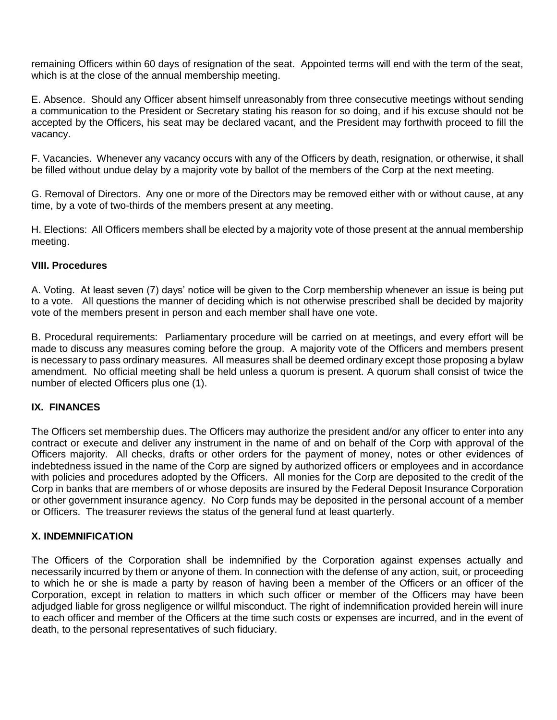remaining Officers within 60 days of resignation of the seat. Appointed terms will end with the term of the seat, which is at the close of the annual membership meeting.

E. Absence. Should any Officer absent himself unreasonably from three consecutive meetings without sending a communication to the President or Secretary stating his reason for so doing, and if his excuse should not be accepted by the Officers, his seat may be declared vacant, and the President may forthwith proceed to fill the vacancy.

F. Vacancies. Whenever any vacancy occurs with any of the Officers by death, resignation, or otherwise, it shall be filled without undue delay by a majority vote by ballot of the members of the Corp at the next meeting.

G. Removal of Directors. Any one or more of the Directors may be removed either with or without cause, at any time, by a vote of two-thirds of the members present at any meeting.

H. Elections: All Officers members shall be elected by a majority vote of those present at the annual membership meeting.

### **VIII. Procedures**

A. Voting. At least seven (7) days' notice will be given to the Corp membership whenever an issue is being put to a vote. All questions the manner of deciding which is not otherwise prescribed shall be decided by majority vote of the members present in person and each member shall have one vote.

B. Procedural requirements: Parliamentary procedure will be carried on at meetings, and every effort will be made to discuss any measures coming before the group. A majority vote of the Officers and members present is necessary to pass ordinary measures. All measures shall be deemed ordinary except those proposing a bylaw amendment. No official meeting shall be held unless a quorum is present. A quorum shall consist of twice the number of elected Officers plus one (1).

## **IX. FINANCES**

The Officers set membership dues. The Officers may authorize the president and/or any officer to enter into any contract or execute and deliver any instrument in the name of and on behalf of the Corp with approval of the Officers majority. All checks, drafts or other orders for the payment of money, notes or other evidences of indebtedness issued in the name of the Corp are signed by authorized officers or employees and in accordance with policies and procedures adopted by the Officers. All monies for the Corp are deposited to the credit of the Corp in banks that are members of or whose deposits are insured by the Federal Deposit Insurance Corporation or other government insurance agency. No Corp funds may be deposited in the personal account of a member or Officers. The treasurer reviews the status of the general fund at least quarterly.

#### **X. INDEMNIFICATION**

The Officers of the Corporation shall be indemnified by the Corporation against expenses actually and necessarily incurred by them or anyone of them. In connection with the defense of any action, suit, or proceeding to which he or she is made a party by reason of having been a member of the Officers or an officer of the Corporation, except in relation to matters in which such officer or member of the Officers may have been adjudged liable for gross negligence or willful misconduct. The right of indemnification provided herein will inure to each officer and member of the Officers at the time such costs or expenses are incurred, and in the event of death, to the personal representatives of such fiduciary.